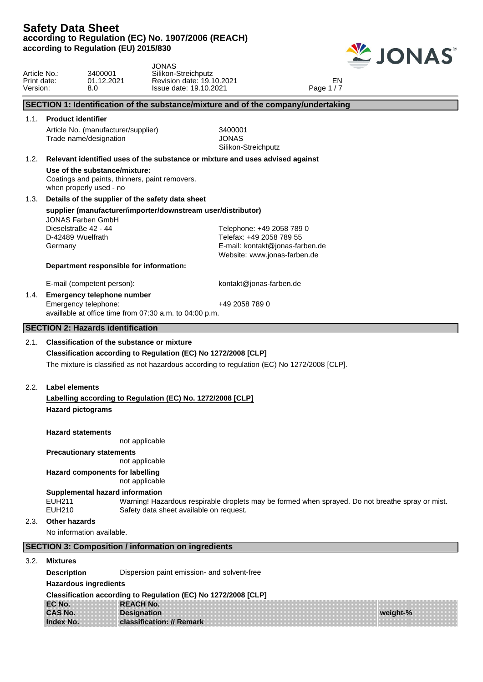

|                                         |                                                                                  | <b>JONAS</b>                                               |                                                                                                                       |                                                                                             |                                                                                                  |
|-----------------------------------------|----------------------------------------------------------------------------------|------------------------------------------------------------|-----------------------------------------------------------------------------------------------------------------------|---------------------------------------------------------------------------------------------|--------------------------------------------------------------------------------------------------|
| Article No.:<br>Print date:<br>Version: | 3400001<br>01.12.2021<br>8.0                                                     |                                                            | Silikon-Streichputz<br>Revision date: 19.10.2021<br>Issue date: 19.10.2021                                            | EN<br>Page 1/7                                                                              |                                                                                                  |
|                                         |                                                                                  |                                                            |                                                                                                                       | SECTION 1: Identification of the substance/mixture and of the company/undertaking           |                                                                                                  |
| 1.1.                                    | <b>Product identifier</b>                                                        |                                                            |                                                                                                                       |                                                                                             |                                                                                                  |
|                                         | Article No. (manufacturer/supplier)<br>Trade name/designation                    |                                                            | 3400001<br><b>JONAS</b><br>Silikon-Streichputz                                                                        |                                                                                             |                                                                                                  |
| 1.2.                                    |                                                                                  |                                                            | Relevant identified uses of the substance or mixture and uses advised against                                         |                                                                                             |                                                                                                  |
|                                         | Use of the substance/mixture:<br>when properly used - no                         | Coatings and paints, thinners, paint removers.             |                                                                                                                       |                                                                                             |                                                                                                  |
| 1.3.                                    |                                                                                  | Details of the supplier of the safety data sheet           |                                                                                                                       |                                                                                             |                                                                                                  |
|                                         | <b>JONAS Farben GmbH</b><br>Dieselstraße 42 - 44<br>D-42489 Wuelfrath<br>Germany | Department responsible for information:                    | supplier (manufacturer/importer/downstream user/distributor)<br>Telephone: +49 2058 789 0<br>Telefax: +49 2058 789 55 | E-mail: kontakt@jonas-farben.de<br>Website: www.jonas-farben.de                             |                                                                                                  |
|                                         | E-mail (competent person):                                                       |                                                            | kontakt@jonas-farben.de                                                                                               |                                                                                             |                                                                                                  |
| 1.4.                                    | <b>Emergency telephone number</b><br>Emergency telephone:                        | availlable at office time from 07:30 a.m. to 04:00 p.m.    | +49 2058 789 0                                                                                                        |                                                                                             |                                                                                                  |
|                                         | <b>SECTION 2: Hazards identification</b>                                         |                                                            |                                                                                                                       |                                                                                             |                                                                                                  |
| 2.1.                                    |                                                                                  | <b>Classification of the substance or mixture</b>          |                                                                                                                       |                                                                                             |                                                                                                  |
|                                         |                                                                                  |                                                            | Classification according to Regulation (EC) No 1272/2008 [CLP]                                                        |                                                                                             |                                                                                                  |
|                                         |                                                                                  |                                                            |                                                                                                                       | The mixture is classified as not hazardous according to regulation (EC) No 1272/2008 [CLP]. |                                                                                                  |
| 2.2.                                    | <b>Label elements</b>                                                            |                                                            |                                                                                                                       |                                                                                             |                                                                                                  |
|                                         |                                                                                  |                                                            | Labelling according to Regulation (EC) No. 1272/2008 [CLP]                                                            |                                                                                             |                                                                                                  |
|                                         | <b>Hazard pictograms</b>                                                         |                                                            |                                                                                                                       |                                                                                             |                                                                                                  |
|                                         | <b>Hazard statements</b>                                                         | not applicable                                             |                                                                                                                       |                                                                                             |                                                                                                  |
|                                         | <b>Precautionary statements</b>                                                  | not applicable                                             |                                                                                                                       |                                                                                             |                                                                                                  |
|                                         | Hazard components for labelling                                                  | not applicable                                             |                                                                                                                       |                                                                                             |                                                                                                  |
|                                         | Supplemental hazard information<br><b>EUH211</b><br><b>EUH210</b>                |                                                            | Safety data sheet available on request.                                                                               |                                                                                             | Warning! Hazardous respirable droplets may be formed when sprayed. Do not breathe spray or mist. |
| 2.3.                                    | <b>Other hazards</b>                                                             |                                                            |                                                                                                                       |                                                                                             |                                                                                                  |
|                                         | No information available.                                                        |                                                            |                                                                                                                       |                                                                                             |                                                                                                  |
|                                         |                                                                                  | <b>SECTION 3: Composition / information on ingredients</b> |                                                                                                                       |                                                                                             |                                                                                                  |
| 3.2.                                    | <b>Mixtures</b>                                                                  |                                                            |                                                                                                                       |                                                                                             |                                                                                                  |
|                                         | <b>Description</b>                                                               |                                                            | Dispersion paint emission- and solvent-free                                                                           |                                                                                             |                                                                                                  |
|                                         | <b>Hazardous ingredients</b>                                                     |                                                            |                                                                                                                       |                                                                                             |                                                                                                  |
|                                         |                                                                                  |                                                            | Classification according to Regulation (EC) No 1272/2008 [CLP]                                                        |                                                                                             |                                                                                                  |

**EC No. CAS No. Index No. REACH No. Designation classification: // Remark**

**weight-%**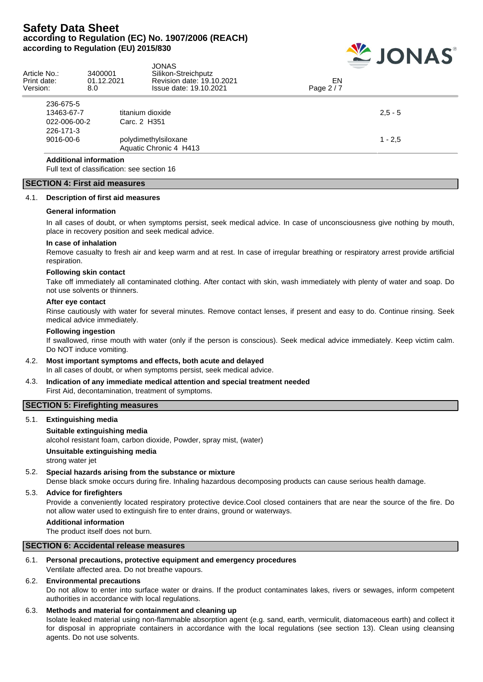

| Article No.:<br>Print date:<br>Version: | 3400001<br>01.12.2021<br>8.0 | JONAS<br>Silikon-Streichputz<br>Revision date: 19.10.2021<br>Issue date: 19.10.2021 | EN<br>Page 2/7 |
|-----------------------------------------|------------------------------|-------------------------------------------------------------------------------------|----------------|
| 236-675-5                               |                              |                                                                                     |                |
| 13463-67-7                              |                              | titanium dioxide                                                                    | $2.5 - 5$      |
| 022-006-00-2                            |                              | Carc. 2 H351                                                                        |                |
| 226-171-3                               |                              |                                                                                     |                |
| 9016-00-6                               |                              | polydimethylsiloxane                                                                | $1 - 2.5$      |
|                                         |                              | Aquatic Chronic 4 H413                                                              |                |
| <b>Additional information</b>           |                              |                                                                                     |                |

Full text of classification: see section 16

#### **SECTION 4: First aid measures**

#### 4.1. **Description of first aid measures**

#### **General information**

In all cases of doubt, or when symptoms persist, seek medical advice. In case of unconsciousness give nothing by mouth, place in recovery position and seek medical advice.

#### **In case of inhalation**

Remove casualty to fresh air and keep warm and at rest. In case of irregular breathing or respiratory arrest provide artificial respiration.

#### **Following skin contact**

Take off immediately all contaminated clothing. After contact with skin, wash immediately with plenty of water and soap. Do not use solvents or thinners.

#### **After eye contact**

Rinse cautiously with water for several minutes. Remove contact lenses, if present and easy to do. Continue rinsing. Seek medical advice immediately.

#### **Following ingestion**

If swallowed, rinse mouth with water (only if the person is conscious). Seek medical advice immediately. Keep victim calm. Do NOT induce vomiting.

#### 4.2. **Most important symptoms and effects, both acute and delayed** In all cases of doubt, or when symptoms persist, seek medical advice.

4.3. **Indication of any immediate medical attention and special treatment needed**

First Aid, decontamination, treatment of symptoms.

## **SECTION 5: Firefighting measures**

#### 5.1. **Extinguishing media**

#### **Suitable extinguishing media**

alcohol resistant foam, carbon dioxide, Powder, spray mist, (water)

**Unsuitable extinguishing media**

strong water jet

#### 5.2. **Special hazards arising from the substance or mixture**

Dense black smoke occurs during fire. Inhaling hazardous decomposing products can cause serious health damage.

#### 5.3. **Advice for firefighters**

Provide a conveniently located respiratory protective device.Cool closed containers that are near the source of the fire. Do not allow water used to extinguish fire to enter drains, ground or waterways.

#### **Additional information**

The product itself does not burn.

#### **SECTION 6: Accidental release measures**

#### 6.1. **Personal precautions, protective equipment and emergency procedures**

Ventilate affected area. Do not breathe vapours.

#### 6.2. **Environmental precautions**

Do not allow to enter into surface water or drains. If the product contaminates lakes, rivers or sewages, inform competent authorities in accordance with local regulations.

#### 6.3. **Methods and material for containment and cleaning up**

Isolate leaked material using non-flammable absorption agent (e.g. sand, earth, vermiculit, diatomaceous earth) and collect it for disposal in appropriate containers in accordance with the local regulations (see section 13). Clean using cleansing agents. Do not use solvents.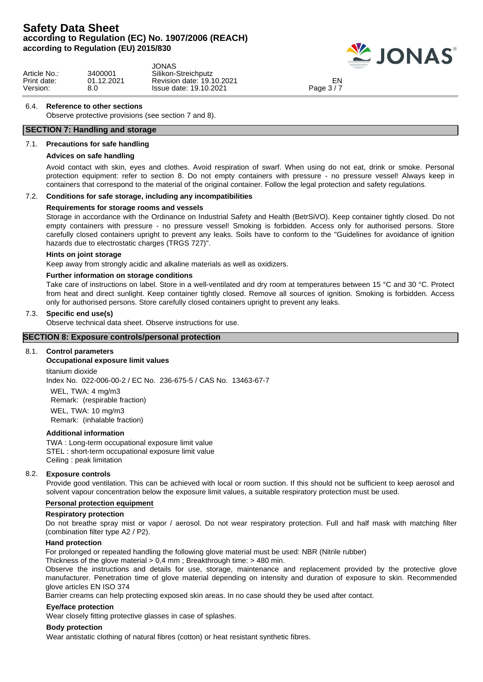

|              |            | JONAS                     | ____       |  |
|--------------|------------|---------------------------|------------|--|
| Article No.: | 3400001    | Silikon-Streichputz       |            |  |
| Print date:  | 01.12.2021 | Revision date: 19.10.2021 | EN         |  |
| Version:     | 8.C        | Issue date: 19.10.2021    | Page $3/7$ |  |

#### 6.4. **Reference to other sections**

Observe protective provisions (see section 7 and 8).

## **SECTION 7: Handling and storage**

#### 7.1. **Precautions for safe handling**

#### **Advices on safe handling**

Avoid contact with skin, eyes and clothes. Avoid respiration of swarf. When using do not eat, drink or smoke. Personal protection equipment: refer to section 8. Do not empty containers with pressure - no pressure vessel! Always keep in containers that correspond to the material of the original container. Follow the legal protection and safety regulations.

#### 7.2. **Conditions for safe storage, including any incompatibilities**

#### **Requirements for storage rooms and vessels**

Storage in accordance with the Ordinance on Industrial Safety and Health (BetrSiVO). Keep container tightly closed. Do not empty containers with pressure - no pressure vessel! Smoking is forbidden. Access only for authorised persons. Store carefully closed containers upright to prevent any leaks. Soils have to conform to the "Guidelines for avoidance of ignition hazards due to electrostatic charges (TRGS 727)".

#### **Hints on joint storage**

Keep away from strongly acidic and alkaline materials as well as oxidizers.

#### **Further information on storage conditions**

Take care of instructions on label. Store in a well-ventilated and dry room at temperatures between 15 °C and 30 °C. Protect from heat and direct sunlight. Keep container tightly closed. Remove all sources of ignition. Smoking is forbidden. Access only for authorised persons. Store carefully closed containers upright to prevent any leaks.

#### 7.3. **Specific end use(s)**

Observe technical data sheet. Observe instructions for use.

#### **SECTION 8: Exposure controls/personal protection**

#### 8.1. **Control parameters**

#### **Occupational exposure limit values**

titanium dioxide Index No. 022-006-00-2 / EC No. 236-675-5 / CAS No. 13463-67-7

WEL, TWA: 4 mg/m3 Remark: (respirable fraction) WEL, TWA: 10 mg/m3 Remark: (inhalable fraction)

#### **Additional information**

TWA : Long-term occupational exposure limit value STEL : short-term occupational exposure limit value Ceiling : peak limitation

#### 8.2. **Exposure controls**

Provide good ventilation. This can be achieved with local or room suction. If this should not be sufficient to keep aerosol and solvent vapour concentration below the exposure limit values, a suitable respiratory protection must be used.

#### **Personal protection equipment**

#### **Respiratory protection**

Do not breathe spray mist or vapor / aerosol. Do not wear respiratory protection. Full and half mask with matching filter (combination filter type A2 / P2).

#### **Hand protection**

For prolonged or repeated handling the following glove material must be used: NBR (Nitrile rubber)

Thickness of the glove material > 0,4 mm ; Breakthrough time: > 480 min.

Observe the instructions and details for use, storage, maintenance and replacement provided by the protective glove manufacturer. Penetration time of glove material depending on intensity and duration of exposure to skin. Recommended glove articles EN ISO 374

Barrier creams can help protecting exposed skin areas. In no case should they be used after contact.

#### **Eye/face protection**

Wear closely fitting protective glasses in case of splashes.

#### **Body protection**

Wear antistatic clothing of natural fibres (cotton) or heat resistant synthetic fibres.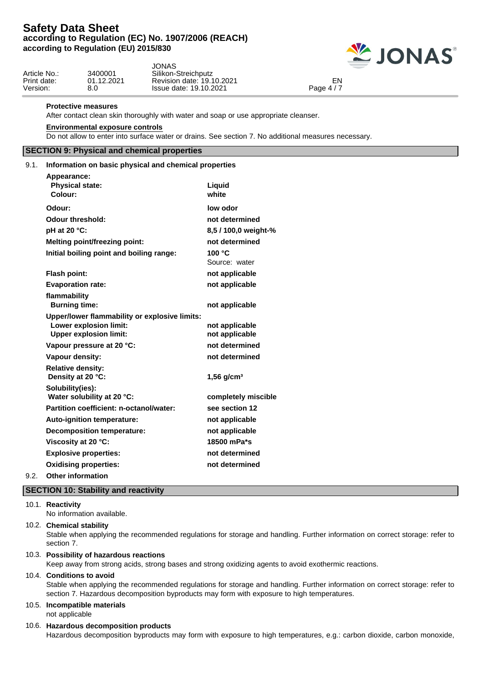

| Article No.:<br>Print date: | 3400001<br>01.12.2021 | JONAS.<br>Silikon-Streichputz<br>Revision date: 19.10.2021 | EN          |  |
|-----------------------------|-----------------------|------------------------------------------------------------|-------------|--|
| Version:                    | 8.0                   | Issue date: 19.10.2021                                     | Page $4/$ , |  |

#### **Protective measures**

After contact clean skin thoroughly with water and soap or use appropriate cleanser.

#### **Environmental exposure controls**

Do not allow to enter into surface water or drains. See section 7. No additional measures necessary.

## **SECTION 9: Physical and chemical properties**

#### 9.1. **Information on basic physical and chemical properties**

| Appearance:                                                                                                     |                                  |
|-----------------------------------------------------------------------------------------------------------------|----------------------------------|
| <b>Physical state:</b>                                                                                          | Liquid                           |
| Colour:                                                                                                         | white                            |
| Odour:                                                                                                          | low odor                         |
| <b>Odour threshold:</b>                                                                                         | not determined                   |
| pH at 20 °C:                                                                                                    | 8,5 / 100,0 weight-%             |
| <b>Melting point/freezing point:</b>                                                                            | not determined                   |
| Initial boiling point and boiling range:                                                                        | 100 $\degree$ C<br>Source: water |
| <b>Flash point:</b>                                                                                             | not applicable                   |
| <b>Evaporation rate:</b>                                                                                        | not applicable                   |
| flammability<br><b>Burning time:</b>                                                                            | not applicable                   |
| Upper/lower flammability or explosive limits:<br><b>Lower explosion limit:</b><br><b>Upper explosion limit:</b> | not applicable<br>not applicable |
| Vapour pressure at 20 °C:                                                                                       | not determined                   |
| Vapour density:                                                                                                 | not determined                   |
| <b>Relative density:</b><br>Density at 20 °C:                                                                   | $1,56$ g/cm <sup>3</sup>         |
| Solubility(ies):<br>Water solubility at 20 °C:                                                                  | completely miscible              |
| Partition coefficient: n-octanol/water:                                                                         | see section 12                   |
| Auto-ignition temperature:                                                                                      | not applicable                   |
| <b>Decomposition temperature:</b>                                                                               | not applicable                   |
| Viscosity at 20 °C:                                                                                             | 18500 mPa*s                      |
| <b>Explosive properties:</b>                                                                                    | not determined                   |
| <b>Oxidising properties:</b>                                                                                    | not determined                   |
|                                                                                                                 |                                  |

### 9.2. **Other information**

#### **SECTION 10: Stability and reactivity**

#### 10.1. **Reactivity**

No information available.

#### 10.2. **Chemical stability**

Stable when applying the recommended regulations for storage and handling. Further information on correct storage: refer to section 7.

#### 10.3. **Possibility of hazardous reactions**

Keep away from strong acids, strong bases and strong oxidizing agents to avoid exothermic reactions.

#### 10.4. **Conditions to avoid**

Stable when applying the recommended regulations for storage and handling. Further information on correct storage: refer to section 7. Hazardous decomposition byproducts may form with exposure to high temperatures.

#### 10.5. **Incompatible materials**

not applicable

## 10.6. **Hazardous decomposition products**

Hazardous decomposition byproducts may form with exposure to high temperatures, e.g.: carbon dioxide, carbon monoxide,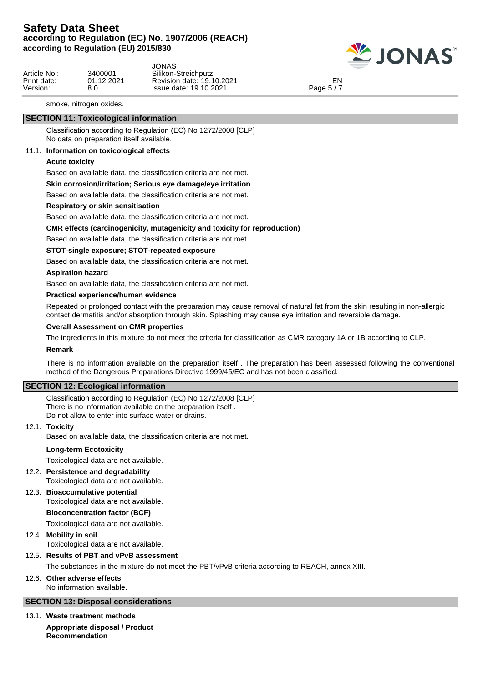

|              |            | JONAS                     |            |  |
|--------------|------------|---------------------------|------------|--|
| Article No.: | 3400001    | Silikon-Streichputz       |            |  |
| Print date:  | 01.12.2021 | Revision date: 19.10.2021 | ⊂N         |  |
| Version:     | 8.0        | Issue date: 19.10.2021    | Page $5/7$ |  |

smoke, nitrogen oxides.

## **SECTION 11: Toxicological information**

Classification according to Regulation (EC) No 1272/2008 [CLP] No data on preparation itself available.

#### 11.1. **Information on toxicological effects**

#### **Acute toxicity**

Based on available data, the classification criteria are not met.

#### **Skin corrosion/irritation; Serious eye damage/eye irritation**

Based on available data, the classification criteria are not met.

#### **Respiratory or skin sensitisation**

Based on available data, the classification criteria are not met.

#### **CMR effects (carcinogenicity, mutagenicity and toxicity for reproduction)**

Based on available data, the classification criteria are not met.

#### **STOT-single exposure; STOT-repeated exposure**

Based on available data, the classification criteria are not met.

#### **Aspiration hazard**

Based on available data, the classification criteria are not met.

#### **Practical experience/human evidence**

Repeated or prolonged contact with the preparation may cause removal of natural fat from the skin resulting in non-allergic contact dermatitis and/or absorption through skin. Splashing may cause eye irritation and reversible damage.

#### **Overall Assessment on CMR properties**

The ingredients in this mixture do not meet the criteria for classification as CMR category 1A or 1B according to CLP.

#### **Remark**

There is no information available on the preparation itself . The preparation has been assessed following the conventional method of the Dangerous Preparations Directive 1999/45/EC and has not been classified.

## **SECTION 12: Ecological information**

Classification according to Regulation (EC) No 1272/2008 [CLP] There is no information available on the preparation itself . Do not allow to enter into surface water or drains.

#### 12.1. **Toxicity**

Based on available data, the classification criteria are not met.

#### **Long-term Ecotoxicity**

Toxicological data are not available.

12.2. **Persistence and degradability**

Toxicological data are not available.

12.3. **Bioaccumulative potential**

Toxicological data are not available.

#### **Bioconcentration factor (BCF)**

Toxicological data are not available.

#### 12.4. **Mobility in soil**

Toxicological data are not available.

### 12.5. **Results of PBT and vPvB assessment**

The substances in the mixture do not meet the PBT/vPvB criteria according to REACH, annex XIII.

### 12.6. **Other adverse effects**

No information available.

## **SECTION 13: Disposal considerations**

13.1. **Waste treatment methods**

**Appropriate disposal / Product Recommendation**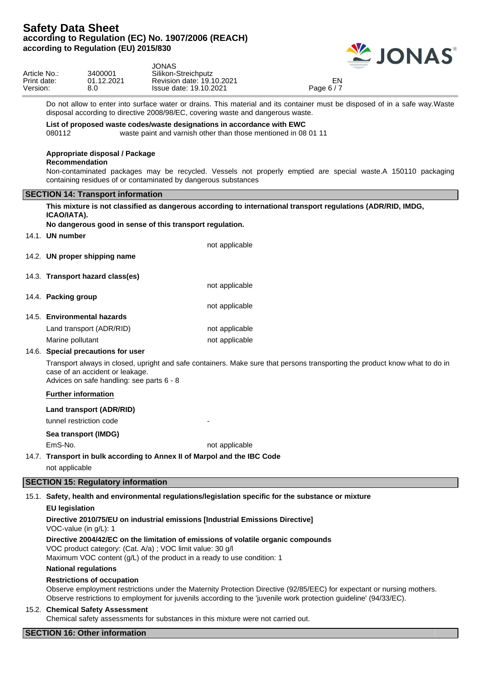

|                   | JONAS                     |            |         |
|-------------------|---------------------------|------------|---------|
| 3400001           | Silikon-Streichputz       |            |         |
| <b>01.12.2021</b> | Revision date: 19.10.2021 | EN         |         |
| 8.0               | Issue date: 19.10.2021    | Page $6/7$ |         |
|                   |                           |            | _______ |

Do not allow to enter into surface water or drains. This material and its container must be disposed of in a safe way.Waste disposal according to directive 2008/98/EC, covering waste and dangerous waste.

#### **List of proposed waste codes/waste designations in accordance with EWC**

080112 waste paint and varnish other than those mentioned in 08 01 11

#### **Appropriate disposal / Package**

## **Recommendation**

Non-contaminated packages may be recycled. Vessels not properly emptied are special waste.A 150110 packaging containing residues of or contaminated by dangerous substances

#### **SECTION 14: Transport information**

| ICAO/IATA).                                                                  | This mixture is not classified as dangerous according to international transport regulations (ADR/RID, IMDG,                |
|------------------------------------------------------------------------------|-----------------------------------------------------------------------------------------------------------------------------|
| No dangerous good in sense of this transport regulation.                     |                                                                                                                             |
| 14.1. UN number                                                              |                                                                                                                             |
|                                                                              | not applicable                                                                                                              |
| 14.2. UN proper shipping name                                                |                                                                                                                             |
| 14.3. Transport hazard class(es)                                             |                                                                                                                             |
|                                                                              | not applicable                                                                                                              |
| 14.4. Packing group                                                          |                                                                                                                             |
|                                                                              | not applicable                                                                                                              |
| 14.5. Environmental hazards                                                  |                                                                                                                             |
| Land transport (ADR/RID)                                                     | not applicable                                                                                                              |
| Marine pollutant                                                             | not applicable                                                                                                              |
| 14.6. Special precautions for user                                           |                                                                                                                             |
| case of an accident or leakage.<br>Advices on safe handling: see parts 6 - 8 | Transport always in closed, upright and safe containers. Make sure that persons transporting the product know what to do in |
| <b>Further information</b>                                                   |                                                                                                                             |
| Land transport (ADR/RID)                                                     |                                                                                                                             |
| tunnel restriction code                                                      |                                                                                                                             |
| Sea transport (IMDG)                                                         |                                                                                                                             |
| EmS-No.                                                                      | not applicable                                                                                                              |
| 14.7. Transport in bulk according to Annex II of Marpol and the IBC Code     |                                                                                                                             |
| not applicable                                                               |                                                                                                                             |
| <b>SECTION 15: Regulatory information</b>                                    |                                                                                                                             |
|                                                                              | 15.1. Safety, health and environmental regulations/legislation specific for the substance or mixture                        |
| <b>EU legislation</b>                                                        |                                                                                                                             |
| VOC-value (in g/L): 1                                                        | Directive 2010/75/EU on industrial emissions [Industrial Emissions Directive]                                               |

## **Directive 2004/42/EC on the limitation of emissions of volatile organic compounds**

VOC product category: (Cat. A/a) ; VOC limit value: 30 g/l

Maximum VOC content (g/L) of the product in a ready to use condition: 1

## **National regulations**

## **Restrictions of occupation**

Observe employment restrictions under the Maternity Protection Directive (92/85/EEC) for expectant or nursing mothers. Observe restrictions to employment for juvenils according to the 'juvenile work protection guideline' (94/33/EC).

## 15.2. **Chemical Safety Assessment**

Chemical safety assessments for substances in this mixture were not carried out.

## **SECTION 16: Other information**